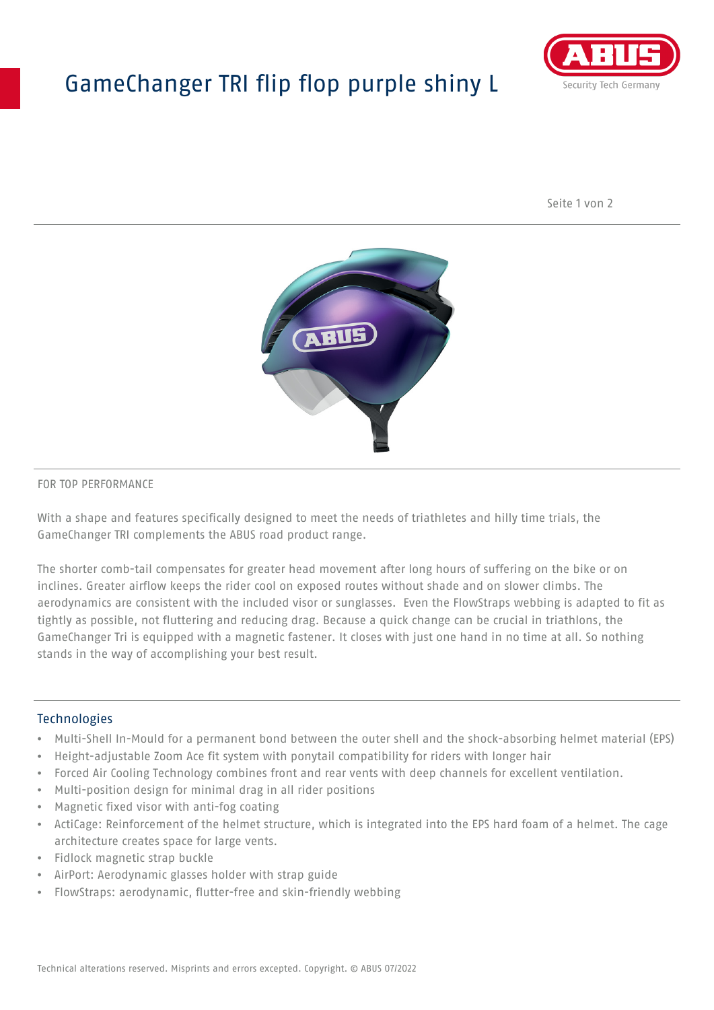# GameChanger TRI flip flop purple shiny L



Seite 1 von 2



#### FOR TOP PERFORMANCE

With a shape and features specifically designed to meet the needs of triathletes and hilly time trials, the GameChanger TRI complements the ABUS road product range.

The shorter comb-tail compensates for greater head movement after long hours of suffering on the bike or on inclines. Greater airflow keeps the rider cool on exposed routes without shade and on slower climbs. The aerodynamics are consistent with the included visor or sunglasses. Even the FlowStraps webbing is adapted to fit as tightly as possible, not fluttering and reducing drag. Because a quick change can be crucial in triathlons, the GameChanger Tri is equipped with a magnetic fastener. It closes with just one hand in no time at all. So nothing stands in the way of accomplishing your best result.

#### **Technologies**

- Multi-Shell In-Mould for a permanent bond between the outer shell and the shock-absorbing helmet material (EPS)
- Height-adjustable Zoom Ace fit system with ponytail compatibility for riders with longer hair
- Forced Air Cooling Technology combines front and rear vents with deep channels for excellent ventilation.
- Multi-position design for minimal drag in all rider positions
- Magnetic fixed visor with anti-fog coating
- ActiCage: Reinforcement of the helmet structure, which is integrated into the EPS hard foam of a helmet. The cage architecture creates space for large vents.
- Fidlock magnetic strap buckle
- AirPort: Aerodynamic glasses holder with strap guide
- FlowStraps: aerodynamic, flutter-free and skin-friendly webbing